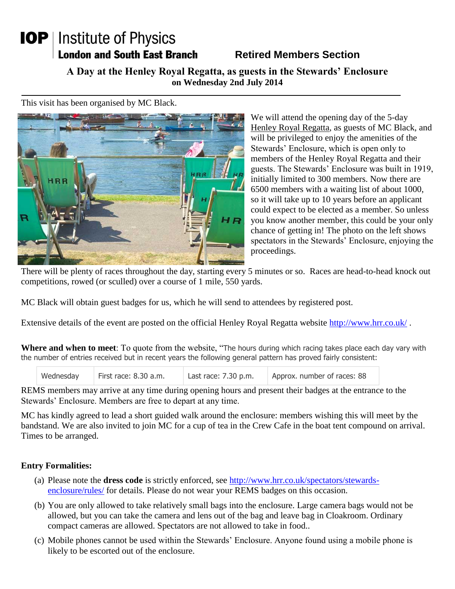## **IOP** | Institute of Physics **London and South East Branch**

## **Retired Members Section**

**A Day at the Henley Royal Regatta, as guests in the Stewards' Enclosure on Wednesday 2nd July 2014**

This visit has been organised by MC Black.



We will attend the opening day of the 5-day Henley Royal Regatta, as guests of MC Black, and will be privileged to enjoy the amenities of the Stewards' Enclosure, which is open only to members of the Henley Royal Regatta and their guests. The Stewards' Enclosure was built in 1919, initially limited to 300 members. Now there are 6500 members with a waiting list of about 1000, so it will take up to 10 years before an applicant could expect to be elected as a member. So unless you know another member, this could be your only chance of getting in! The photo on the left shows spectators in the Stewards' Enclosure, enjoying the proceedings.

There will be plenty of races throughout the day, starting every 5 minutes or so. Races are head-to-head knock out competitions, rowed (or sculled) over a course of 1 mile, 550 yards.

MC Black will obtain guest badges for us, which he will send to attendees by registered post.

Extensive details of the event are posted on the official Henley Royal Regatta website<http://www.hrr.co.uk/>.

**Where and when to meet**: To quote from the website, "The hours during which racing takes place each day vary with the number of entries received but in recent years the following general pattern has proved fairly consistent:

| Wednesday | First race: 8.30 a.m. | Last race: $7.30$ p.m. | Approx. number of races: 88 |
|-----------|-----------------------|------------------------|-----------------------------|
|-----------|-----------------------|------------------------|-----------------------------|

REMS members may arrive at any time during opening hours and present their badges at the entrance to the Stewards' Enclosure. Members are free to depart at any time.

MC has kindly agreed to lead a short guided walk around the enclosure: members wishing this will meet by the bandstand. We are also invited to join MC for a cup of tea in the Crew Cafe in the boat tent compound on arrival. Times to be arranged.

## **Entry Formalities:**

- (a) Please note the **dress code** is strictly enforced, see [http://www.hrr.co.uk/spectators/stewards](http://www.hrr.co.uk/spectators/stewards-enclosure/rules/)[enclosure/rules/](http://www.hrr.co.uk/spectators/stewards-enclosure/rules/) for details. Please do not wear your REMS badges on this occasion.
- (b) You are only allowed to take relatively small bags into the enclosure. Large camera bags would not be allowed, but you can take the camera and lens out of the bag and leave bag in Cloakroom. Ordinary compact cameras are allowed. Spectators are not allowed to take in food..
- (c) Mobile phones cannot be used within the Stewards' Enclosure. Anyone found using a mobile phone is likely to be escorted out of the enclosure.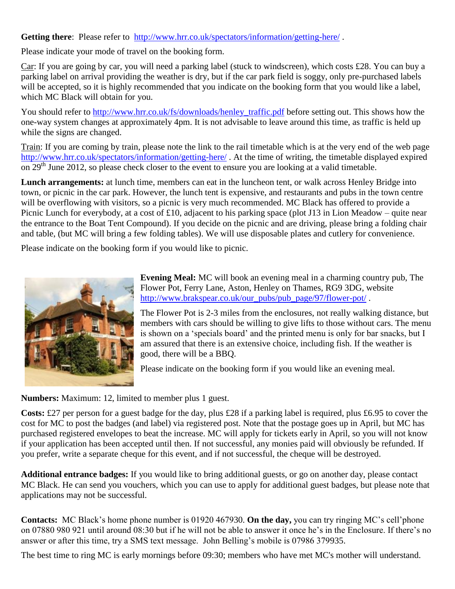Getting there: Please refer to <http://www.hrr.co.uk/spectators/information/getting-here/>.

Please indicate your mode of travel on the booking form.

Car: If you are going by car, you will need a parking label (stuck to windscreen), which costs £28. You can buy a parking label on arrival providing the weather is dry, but if the car park field is soggy, only pre-purchased labels will be accepted, so it is highly recommended that you indicate on the booking form that you would like a label, which MC Black will obtain for you.

You should refer to [http://www.hrr.co.uk/fs/downloads/henley\\_traffic.pdf](http://www.hrr.co.uk/fs/downloads/henley_traffic.pdf) before setting out. This shows how the one-way system changes at approximately 4pm. It is not advisable to leave around this time, as traffic is held up while the signs are changed.

Train: If you are coming by train, please note the link to the rail timetable which is at the very end of the web page <http://www.hrr.co.uk/spectators/information/getting-here/> . At the time of writing, the timetable displayed expired on  $29<sup>th</sup>$  June 2012, so please check closer to the event to ensure you are looking at a valid timetable.

**Lunch arrangements:** at lunch time, members can eat in the luncheon tent, or walk across Henley Bridge into town, or picnic in the car park. However, the lunch tent is expensive, and restaurants and pubs in the town centre will be overflowing with visitors, so a picnic is very much recommended. MC Black has offered to provide a Picnic Lunch for everybody, at a cost of £10, adjacent to his parking space (plot J13 in Lion Meadow – quite near the entrance to the Boat Tent Compound). If you decide on the picnic and are driving, please bring a folding chair and table, (but MC will bring a few folding tables). We will use disposable plates and cutlery for convenience.

Please indicate on the booking form if you would like to picnic.



**Evening Meal:** MC will book an evening meal in a charming country pub, The Flower Pot, Ferry Lane, Aston, Henley on Thames, RG9 3DG, website [http://www.brakspear.co.uk/our\\_pubs/pub\\_page/97/flower-pot/](http://www.brakspear.co.uk/our_pubs/pub_page/97/flower-pot/).

The Flower Pot is 2-3 miles from the enclosures, not really walking distance, but members with cars should be willing to give lifts to those without cars. The menu is shown on a 'specials board' and the printed menu is only for bar snacks, but I am assured that there is an extensive choice, including fish. If the weather is good, there will be a BBQ.

Please indicate on the booking form if you would like an evening meal.

**Numbers:** Maximum: 12, limited to member plus 1 guest.

**Costs:** £27 per person for a guest badge for the day, plus £28 if a parking label is required, plus £6.95 to cover the cost for MC to post the badges (and label) via registered post. Note that the postage goes up in April, but MC has purchased registered envelopes to beat the increase. MC will apply for tickets early in April, so you will not know if your application has been accepted until then. If not successful, any monies paid will obviously be refunded. If you prefer, write a separate cheque for this event, and if not successful, the cheque will be destroyed.

**Additional entrance badges:** If you would like to bring additional guests, or go on another day, please contact MC Black. He can send you vouchers, which you can use to apply for additional guest badges, but please note that applications may not be successful.

**Contacts:** MC Black's home phone number is 01920 467930. **On the day,** you can try ringing MC's cell'phone on 07880 980 921 until around 08:30 but if he will not be able to answer it once he's in the Enclosure. If there's no answer or after this time, try a SMS text message. John Belling's mobile is 07986 379935.

The best time to ring MC is early mornings before 09:30; members who have met MC's mother will understand.